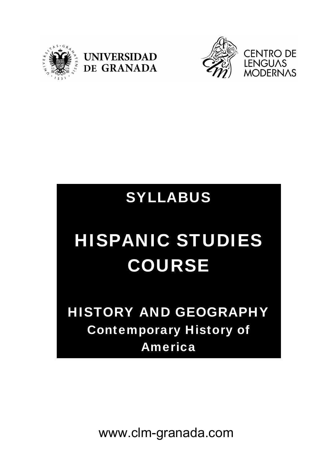





# SYLLABUS

# HISPANIC STUDIES COURSE

HISTORY AND GEOGRAPHY Contemporary History of America

www.clm-granada.com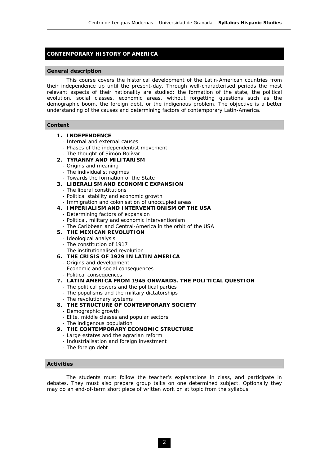# **CONTEMPORARY HISTORY OF AMERICA**

#### **General description**

 This course covers the historical development of the Latin-American countries from their independence up until the present-day. Through well-characterised periods the most relevant aspects of their nationality are studied: the formation of the state, the political evolution, social classes, economic areas, without forgetting questions such as the demographic boom, the foreign debt, or the indigenous problem. The objective is a better understanding of the causes and determining factors of contemporary Latin-America.

#### **Content**

- **1. INDEPENDENCE** 
	- Internal and external causes
	- Phases of the independentist movement
	- The thought of Simón Bolívar

## **2. TYRANNY AND MILITARISM**

- Origins and meaning
- The individualist regimes
- Towards the formation of the State
- **3. LIBERALISM AND ECONOMIC EXPANSION** 
	- The liberal constitutions
	- Political stability and economic growth
	- Immigration and colonisation of unoccupied areas
- **4. IMPERIALISM AND INTERVENTIONISM OF THE USA** 
	- Determining factors of expansion
	- Political, military and economic interventionism
	- The Caribbean and Central-America in the orbit of the USA
- **5. THE MEXICAN REVOLUTION** 
	- Ideological analysis
	- The constitution of 1917
	- The institutionalised revolution
- **6. THE CRISIS OF 1929 IN LATIN AMERICA** 
	- Origins and development
	- Economic and social consequences
	- Political consequences
- **7. LATIN AMERICA FROM 1945 ONWARDS. THE POLITICAL QUESTION** 
	- The political powers and the political parties
	- The populisms and the military dictatorships
	- The revolutionary systems
- **8. THE STRUCTURE OF CONTEMPORARY SOCIETY** 
	- Demographic growth
	- Elite, middle classes and popular sectors
	- The indigenous population
- **9. THE CONTEMPORARY ECONOMIC STRUCTURE** 
	- Large estates and the agrarian reform
	- Industrialisation and foreign investment
	- The foreign debt

## **Activities**

 The students must follow the teacher's explanations in class, and participate in debates. They must also prepare group talks on one determined subject. Optionally they may do an end-of-term short piece of written work on at topic from the syllabus.